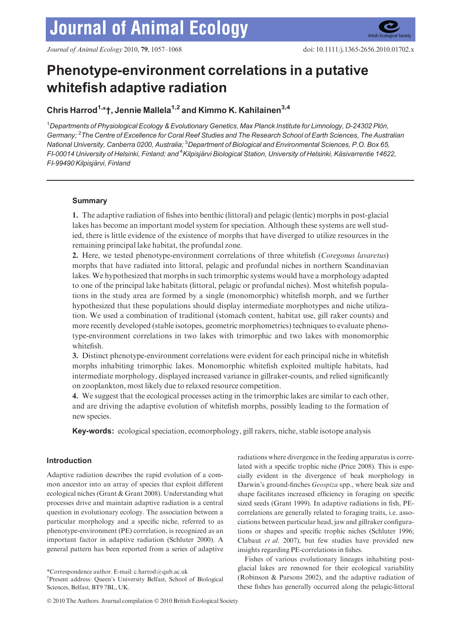Journal of Animal Ecology 2010, 79, 1057–1068 doi: 10.1111/j.1365-2656.2010.01702.x

# Phenotype-environment correlations in a putative whitefish adaptive radiation

## Chris Harrod<sup>1,\*</sup>†, Jennie Mallela<sup>1,2</sup> and Kimmo K. Kahilainen<sup>3,4</sup>

 $^1$ Departments of Physiological Ecology & Evolutionary Genetics, Max Planck Institute for Limnology, D-24302 Plön, Germany; <sup>2</sup> The Centre of Excellence for Coral Reef Studies and The Research School of Earth Sciences, The Australian National University, Canberra 0200, Australia; <sup>3</sup>Department of Biological and Environmental Sciences, P.O. Box 65, FI-00014 University of Helsinki, Finland; and <sup>4</sup>Kilpisjärvi Biological Station, University of Helsinki, Käsivarrentie 14622, FI-99490 Kilpisjärvi, Finland

## Summary

1. The adaptive radiation of fishes into benthic (littoral) and pelagic (lentic) morphs in post-glacial lakes has become an important model system for speciation. Although these systems are well studied, there is little evidence of the existence of morphs that have diverged to utilize resources in the remaining principal lake habitat, the profundal zone.

2. Here, we tested phenotype-environment correlations of three whitefish (Coregonus lavaretus) morphs that have radiated into littoral, pelagic and profundal niches in northern Scandinavian lakes. We hypothesized that morphs in such trimorphic systems would have a morphology adapted to one of the principal lake habitats (littoral, pelagic or profundal niches). Most whitefish populations in the study area are formed by a single (monomorphic) whitefish morph, and we further hypothesized that these populations should display intermediate morphotypes and niche utilization. We used a combination of traditional (stomach content, habitat use, gill raker counts) and more recently developed (stable isotopes, geometric morphometrics) techniques to evaluate phenotype-environment correlations in two lakes with trimorphic and two lakes with monomorphic whitefish.

3. Distinct phenotype-environment correlations were evident for each principal niche in whitefish morphs inhabiting trimorphic lakes. Monomorphic whitefish exploited multiple habitats, had intermediate morphology, displayed increased variance in gillraker-counts, and relied significantly on zooplankton, most likely due to relaxed resource competition.

4. We suggest that the ecological processes acting in the trimorphic lakes are similar to each other, and are driving the adaptive evolution of whitefish morphs, possibly leading to the formation of new species.

Key-words: ecological speciation, ecomorphology, gill rakers, niche, stable isotope analysis

## Introduction

Adaptive radiation describes the rapid evolution of a common ancestor into an array of species that exploit different ecological niches (Grant & Grant 2008). Understanding what processes drive and maintain adaptive radiation is a central question in evolutionary ecology. The association between a particular morphology and a specific niche, referred to as phenotype-environment (PE) correlation, is recognized as an important factor in adaptive radiation (Schluter 2000). A general pattern has been reported from a series of adaptive

radiations where divergence in the feeding apparatus is correlated with a specific trophic niche (Price 2008). This is especially evident in the divergence of beak morphology in Darwin's ground-finches Geospiza spp., where beak size and shape facilitates increased efficiency in foraging on specific sized seeds (Grant 1999). In adaptive radiations in fish, PEcorrelations are generally related to foraging traits, i.e. associations between particular head, jaw and gillraker configurations or shapes and specific trophic niches (Schluter 1996; Clabaut et al. 2007), but few studies have provided new insights regarding PE-correlations in fishes.

Fishes of various evolutionary lineages inhabiting postglacial lakes are renowned for their ecological variability (Robinson & Parsons 2002), and the adaptive radiation of these fishes has generally occurred along the pelagic-littoral

<sup>\*</sup>Correspondence author. E-mail: c.harrod@qub.ac.uk

<sup>†</sup> Present address: Queen's University Belfast, School of Biological Sciences, Belfast, BT9 7BL, UK.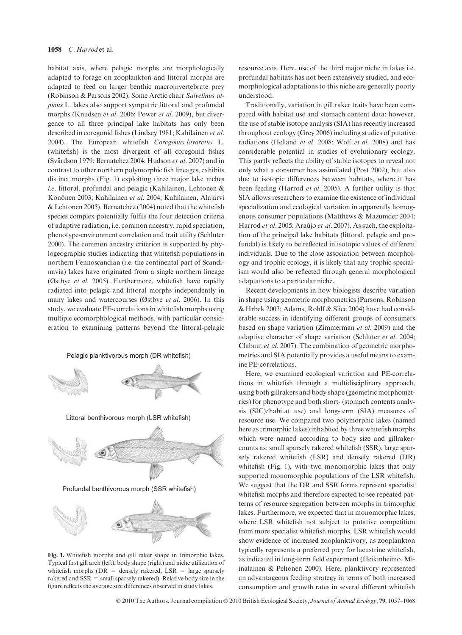habitat axis, where pelagic morphs are morphologically adapted to forage on zooplankton and littoral morphs are adapted to feed on larger benthic macroinvertebrate prey (Robinson & Parsons 2002). Some Arctic charr Salvelinus alpinus L. lakes also support sympatric littoral and profundal morphs (Knudsen et al. 2006; Power et al. 2009), but divergence to all three principal lake habitats has only been described in coregonid fishes (Lindsey 1981; Kahilainen et al. 2004). The European whitefish Coregonus lavaretus L. (whitefish) is the most divergent of all coregonid fishes (Svärdson 1979; Bernatchez 2004; Hudson et al. 2007) and in contrast to other northern polymorphic fish lineages, exhibits distinct morphs (Fig. 1) exploiting three major lake niches i.e. littoral, profundal and pelagic (Kahilainen, Lehtonen & Könönen 2003; Kahilainen et al. 2004; Kahilainen, Alajärvi & Lehtonen 2005). Bernatchez (2004) noted that the whitefish species complex potentially fulfils the four detection criteria of adaptive radiation, i.e. common ancestry, rapid speciation, phenotype-environment correlation and trait utility (Schluter 2000). The common ancestry criterion is supported by phylogeographic studies indicating that whitefish populations in northern Fennoscandian (i.e. the continental part of Scandinavia) lakes have originated from a single northern lineage (Østbye et al. 2005). Furthermore, whitefish have rapidly radiated into pelagic and littoral morphs independently in many lakes and watercourses (Østbye et al. 2006). In this study, we evaluate PE-correlations in whitefish morphs using multiple ecomorphological methods, with particular consideration to examining patterns beyond the littoral-pelagic

Pelagic planktivorous morph (DR whitefish)



Fig. 1. Whitefish morphs and gill raker shape in trimorphic lakes. Typical first gill arch (left), body shape (right) and niche utilization of whitefish morphs ( $DR =$  densely rakered,  $LSR =$  large sparsely rakered and  $SSR =$  small sparsely rakered). Relative body size in the figure reflects the average size differences observed in study lakes.

resource axis. Here, use of the third major niche in lakes i.e. profundal habitats has not been extensively studied, and ecomorphological adaptations to this niche are generally poorly understood.

Traditionally, variation in gill raker traits have been compared with habitat use and stomach content data: however, the use of stable isotope analysis (SIA) has recently increased throughout ecology (Grey 2006) including studies of putative radiations (Helland et al. 2008; Wolf et al. 2008) and has considerable potential in studies of evolutionary ecology. This partly reflects the ability of stable isotopes to reveal not only what a consumer has assimilated (Post 2002), but also due to isotopic differences between habitats, where it has been feeding (Harrod et al. 2005). A further utility is that SIA allows researchers to examine the existence of individual specialization and ecological variation in apparently homogenous consumer populations (Matthews & Mazumder 2004; Harrod et al. 2005; Araújo et al. 2007). As such, the exploitation of the principal lake habitats (littoral, pelagic and profundal) is likely to be reflected in isotopic values of different individuals. Due to the close association between morphology and trophic ecology, it is likely that any trophic specialism would also be reflected through general morphological adaptations to a particular niche.

Recent developments in how biologists describe variation in shape using geometric morphometrics (Parsons, Robinson & Hrbek 2003; Adams, Rohlf & Slice 2004) have had considerable success in identifying different groups of consumers based on shape variation (Zimmerman et al. 2009) and the adaptive character of shape variation (Schluter et al. 2004; Clabaut et al. 2007). The combination of geometric morphometrics and SIA potentially provides a useful means to examine PE-correlations.

Here, we examined ecological variation and PE-correlations in whitefish through a multidisciplinary approach, using both gillrakers and body shape (geometric morphometrics) for phenotype and both short- (stomach contents analysis (SIC)⁄ habitat use) and long-term (SIA) measures of resource use. We compared two polymorphic lakes (named here as trimorphic lakes) inhabited by three whitefish morphs which were named according to body size and gillrakercounts as: small sparsely rakered whitefish (SSR), large sparsely rakered whitefish (LSR) and densely rakered (DR) whitefish (Fig. 1), with two monomorphic lakes that only supported monomorphic populations of the LSR whitefish. We suggest that the DR and SSR forms represent specialist whitefish morphs and therefore expected to see repeated patterns of resource segregation between morphs in trimorphic lakes. Furthermore, we expected that in monomorphic lakes, where LSR whitefish not subject to putative competition from more specialist whitefish morphs, LSR whitefish would show evidence of increased zooplanktivory, as zooplankton typically represents a preferred prey for lacustrine whitefish, as indicated in long-term field experiment (Heikinheimo, Miinalainen & Peltonen 2000). Here, planktivory represented an advantageous feeding strategy in terms of both increased consumption and growth rates in several different whitefish

© 2010 The Authors. Journal compilation © 2010 British Ecological Society, Journal of Animal Ecology, 79, 1057–1068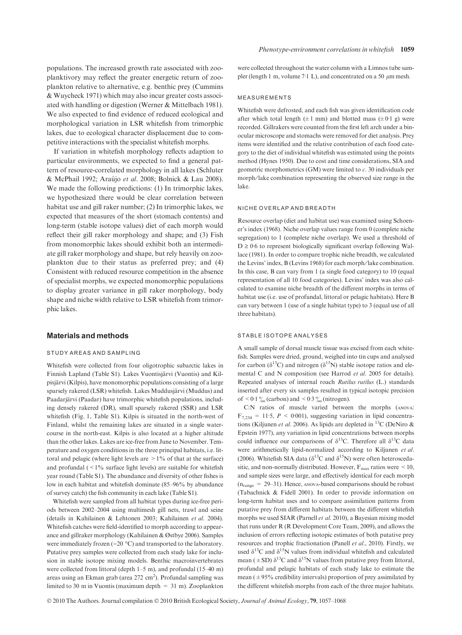populations. The increased growth rate associated with zooplanktivory may reflect the greater energetic return of zooplankton relative to alternative, e.g. benthic prey (Cummins & Wuycheck 1971) which may also incur greater costs associated with handling or digestion (Werner & Mittelbach 1981). We also expected to find evidence of reduced ecological and morphological variation in LSR whitefish from trimorphic lakes, due to ecological character displacement due to competitive interactions with the specialist whitefish morphs.

If variation in whitefish morphology reflects adaption to particular environments, we expected to find a general pattern of resource-correlated morphology in all lakes (Schluter & McPhail 1992; Arau´jo et al. 2008; Bolnick & Lau 2008). We made the following predictions: (1) In trimorphic lakes, we hypothesized there would be clear correlation between habitat use and gill raker number; (2) In trimorphic lakes, we expected that measures of the short (stomach contents) and long-term (stable isotope values) diet of each morph would reflect their gill raker morphology and shape; and (3) Fish from monomorphic lakes should exhibit both an intermediate gill raker morphology and shape, but rely heavily on zooplankton due to their status as preferred prey; and (4) Consistent with reduced resource competition in the absence of specialist morphs, we expected monomorphic populations to display greater variance in gill raker morphology, body shape and niche width relative to LSR whitefish from trimorphic lakes.

#### Materials and methods

#### STUDY AREAS AND SAMPLING

Whitefish were collected from four oligotrophic subarctic lakes in Finnish Lapland (Table S1). Lakes Vuontisjärvi (Vuontis) and Kilpisjärvi (Kilpis), have monomorphic populations consisting of a large sparsely rakered (LSR) whitefish. Lakes Muddusjärvi (Muddus) and Paadarjärvi (Paadar) have trimorphic whitefish populations, including densely rakered (DR), small sparsely rakered (SSR) and LSR whitefish (Fig. 1, Table S1). Kilpis is situated in the north-west of Finland, whilst the remaining lakes are situated in a single watercourse in the north-east. Kilpis is also located at a higher altitude than the other lakes. Lakes are ice-free from June to November. Temperature and oxygen conditions in the three principal habitats, i.e. littoral and pelagic (where light levels are  $>1\%$  of that at the surface) and profundal  $($  <1% surface light levels) are suitable for whitefish year round (Table S1). The abundance and diversity of other fishes is low in each habitat and whitefish dominate (85–96% by abundance of survey catch) the fish community in each lake (Table S1).

Whitefish were sampled from all habitat types during ice-free periods between 2002–2004 using multimesh gill nets, trawl and seine (details in Kahilainen & Lehtonen 2003; Kahilainen et al. 2004). Whitefish catches were field-identified to morph according to appearance and gillraker morphology (Kahilainen & Østbye 2006). Samples were immediately frozen ( $-20$  °C) and transported to the laboratory. Putative prey samples were collected from each study lake for inclusion in stable isotope mixing models. Benthic macroinvertebrates were collected from littoral (depth 1–5 m), and profundal (15–40 m) areas using an Ekman grab (area 272 cm<sup>2</sup>). Profundal sampling was limited to 30 m in Vuontis (maximum depth = 31 m). Zooplankton

were collected throughout the water column with a Limnos tube sampler (length 1 m, volume 7.1 L), and concentrated on a 50  $\mu$ m mesh.

#### MEASUREMENTS

Whitefish were defrosted, and each fish was given identification code after which total length ( $\pm 1$  mm) and blotted mass ( $\pm 0.1$  g) were recorded. Gillrakers were counted from the first left arch under a binocular microscope and stomachs were removed for diet analysis. Prey items were identified and the relative contribution of each food category to the diet of individual whitefish was estimated using the points method (Hynes 1950). Due to cost and time considerations, SIA and geometric morphometrics (GM) were limited to c. 30 individuals per morph/lake combination representing the observed size range in the lake.

#### NICHE OVERLAP AND BREADTH

Resource overlap (diet and habitat use) was examined using Schoener's index (1968). Niche overlap values range from 0 (complete niche segregation) to 1 (complete niche overlap). We used a threshold of  $D \ge 0.6$  to represent biologically significant overlap following Wallace (1981). In order to compare trophic niche breadth, we calculated the Levins' index, B (Levins 1968) for each morph ⁄ lake combination. In this case, B can vary from 1 (a single food category) to 10 (equal representation of all 10 food categories). Levins' index was also calculated to examine niche breadth of the different morphs in terms of habitat use (i.e. use of profundal, littoral or pelagic habitats). Here B can vary between 1 (use of a single habitat type) to 3 (equal use of all three habitats).

#### STABLE ISOTOPE ANALYSES

A small sample of dorsal muscle tissue was excised from each whitefish. Samples were dried, ground, weighed into tin cups and analysed for carbon ( $\delta^{13}$ C) and nitrogen ( $\delta^{15}$ N) stable isotope ratios and elemental C and N composition (see Harrod et al. 2005 for details). Repeated analyses of internal roach Rutilus rutilus (L.) standards inserted after every six samples resulted in typical isotopic precision of  $\leq 0.1\frac{\omega}{\omega_0}$  (carbon) and  $\leq 0.3\frac{\omega}{\omega_0}$  (nitrogen).

C:N ratios of muscle varied between the morphs (anova:  $F_{7,234} = 11.5$ ,  $P < 0.001$ ), suggesting variation in lipid concentrations (Kiljunen et al. 2006). As lipids are depleted in <sup>13</sup>C (DeNiro & Epstein 1977), any variation in lipid concentrations between morphs could influence our comparisons of  $\delta^{13}$ C. Therefore all  $\delta^{13}$ C data were arithmetically lipid-normalized according to Kiljunen et al. (2006). Whitefish SIA data ( $\delta^{13}$ C and  $\delta^{15}$ N) were often heteroscedasitic, and non-normally distributed. However,  $F_{\text{max}}$  ratios were <10, and sample sizes were large, and effectively identical for each morph  $(n<sub>range</sub> = 29-31)$ . Hence, anova-based comparisons should be robust (Tabachnick & Fidell 2001). In order to provide information on long-term habitat uses and to compare assimilation patterns from putative prey from different habitats between the different whitefish morphs we used SIAR (Parnell et al. 2010), a Bayesian mixing model that runs under R (R Development Core Team, 2009), and allows the inclusion of errors reflecting isotopic estimates of both putative prey resources and trophic fractionation (Panell et al., 2010). Firstly, we used  $\delta^{13}$ C and  $\delta^{15}$ N values from individual whitefish and calculated mean ( $\pm$ SD)  $\delta^{13}$ C and  $\delta^{15}$ N values from putative prey from littoral, profundal and pelagic habitats of each study lake to estimate the mean  $(\pm 95\%$  credibility intervals) proportion of prey assimilated by the different whitefish morphs from each of the three major habitats.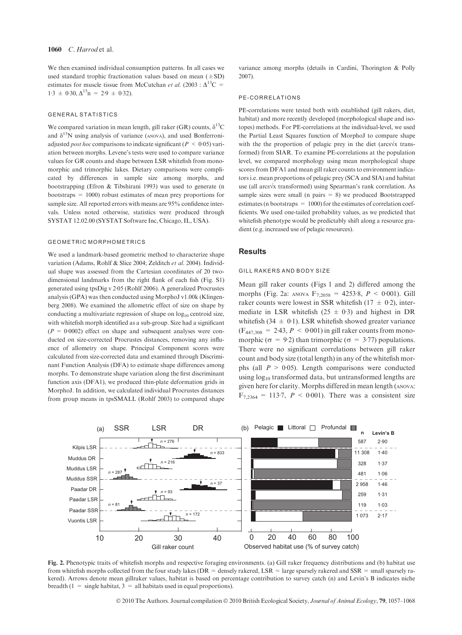We then examined individual consumption patterns. In all cases we used standard trophic fractionation values based on mean  $(\pm SD)$ estimates for muscle tissue from McCutchan et al. (2003 :  $\Delta^{13}C$  =  $1.3 \pm 0.30$ ,  $\Delta^{15}$ n = 2.9  $\pm 0.32$ ).

#### GENERAL STATISTICS

We compared variation in mean length, gill raker (GR) counts,  $\delta^{13}C$ and  $\delta^{15}N$  using analysis of variance (ANOVA), and used Bonferroniadjusted *post hoc* comparisons to indicate significant ( $P < 0.05$ ) variation between morphs. Levene's tests were used to compare variance values for GR counts and shape between LSR whitefish from monomorphic and trimorphic lakes. Dietary comparisons were complicated by differences in sample size among morphs, and bootstrapping (Efron & Tibshirani 1993) was used to generate (n bootstraps = 1000) robust estimates of mean prey proportions for sample size. All reported errors with means are 95% confidence intervals. Unless noted otherwise, statistics were produced through SYSTAT 12.02.00 (SYSTAT Software Inc, Chicago, IL, USA).

#### GEOMETRIC MORPHOMETRICS

We used a landmark-based geometric method to characterize shape variation (Adams, Rohlf & Slice 2004; Zelditch et al. 2004). Individual shape was assessed from the Cartesian coordinates of 20 twodimensional landmarks from the right flank of each fish (Fig. S1) generated using tpsDig v 2.05 (Rohlf 2006). A generalized Procrustes analysis (GPA) was then conducted using MorphoJ v1.00k (Klingenberg 2008). We examined the allometric effect of size on shape by conducting a multivariate regression of shape on  $log_{10}$  centroid size, with whitefish morph identified as a sub-group. Size had a significant  $(P = 0.0002)$  effect on shape and subsequent analyses were conducted on size-corrected Procrustes distances, removing any influence of allometry on shape. Principal Component scores were calculated from size-corrected data and examined through Discriminant Function Analysis (DFA) to estimate shape differences among morphs. To demonstrate shape variation along the first discriminant function axis (DFA1), we produced thin-plate deformation grids in MorphoJ. In addition, we calculated individual Procrustes distances from group means in tpsSMALL (Rohlf 2003) to compared shape

#### PE-CORRELATIONS

PE-correlations were tested both with established (gill rakers, diet, habitat) and more recently developed (morphological shape and isotopes) methods. For PE-correlations at the individual-level, we used the Partial Least Squares function of MorphoJ to compare shape with the the proportion of pelagic prey in the diet (arcs $\sqrt{x}$  transformed) from SIAR. To examine PE-correlations at the population level, we compared morphology using mean morphological shape scores from DFA1 and mean gill raker counts to environment indicators i.e. mean proportions of pelagic prey (SCA and SIA) and habitat use (all arcs $\sqrt{x}$  transformed) using Spearman's rank correlation. As sample sizes were small (n pairs  $= 8$ ) we produced Bootstrapped estimates (n bootstraps  $= 1000$ ) for the estimates of correlation coefficients. We used one-tailed probability values, as we predicted that whitefish phenotype would be predictably shift along a resource gradient (e.g. increased use of pelagic resources).

#### Results

#### GILL RAKERS AND BODY SIZE

Mean gill raker counts (Figs 1 and 2) differed among the morphs (Fig. 2a:  $ANOVA$  F<sub>7,2058</sub> = 4253.8,  $P < 0.001$ ). Gill raker counts were lowest in SSR whitefish ( $17 \pm 0.2$ ), intermediate in LSR whitefish (25  $\pm$  0.3) and highest in DR whitefish (34  $\pm$  0.1). LSR whitefish showed greater variance  $(F_{447,308} = 2.43, P < 0.001)$  in gill raker counts from monomorphic ( $\sigma = 9.2$ ) than trimorphic ( $\sigma = 3.77$ ) populations. There were no significant correlations between gill raker count and body size (total length) in any of the whitefish morphs (all  $P > 0.05$ ). Length comparisons were conducted using  $log_{10}$  transformed data, but untransformed lengths are given here for clarity. Morphs differed in mean length (anova:  $F_{7,2364} = 113.7$ ,  $P < 0.001$ ). There was a consistent size



Fig. 2. Phenotypic traits of whitefish morphs and respective foraging environments. (a) Gill raker frequency distributions and (b) habitat use from whitefish morphs collected from the four study lakes (DR = densely rakered, LSR = large sparsely rakered and SSR = small sparsely rakered). Arrows denote mean gillraker values, habitat is based on percentage contribution to survey catch (n) and Levin's B indicates niche breadth (1 = single habitat, 3 = all habitats used in equal proportions).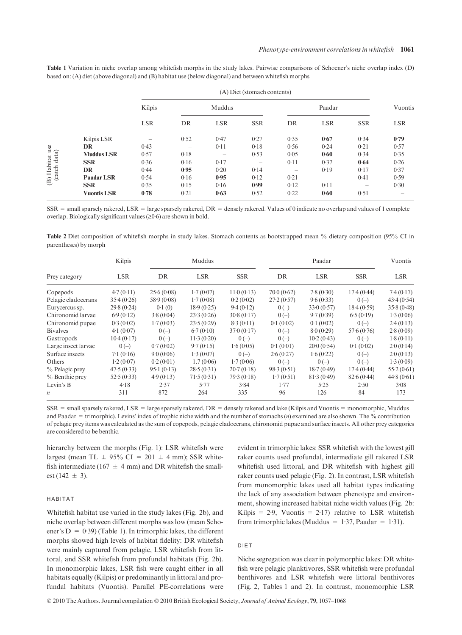|                                 |                    | (A) Diet (stomach contents) |        |                                 |            |        |            |            |            |
|---------------------------------|--------------------|-----------------------------|--------|---------------------------------|------------|--------|------------|------------|------------|
|                                 |                    | Kilpis<br><b>LSR</b>        | Muddus |                                 |            | Paadar |            |            | Vuontis    |
|                                 |                    |                             | DR     | <b>LSR</b>                      | <b>SSR</b> | DR     | <b>LSR</b> | <b>SSR</b> | <b>LSR</b> |
|                                 | Kilpis LSR         |                             | 0.52   | 0.47                            | 0.27       | 0.35   | 0.67       | 0.34       | 0.79       |
| (B) Habitat use<br>(catch data) | DR                 | 0.43                        | -      | 0.11                            | 0.18       | 0.56   | 0.24       | 0.21       | 0.57       |
|                                 | <b>Muddus LSR</b>  | 0.57                        | 0.18   | $\hspace{0.1mm}-\hspace{0.1mm}$ | 0.53       | 0.05   | 0.60       | 0.34       | 0.35       |
|                                 | <b>SSR</b>         | 0.36                        | 0.16   | 0.17                            |            | 0.11   | 0.37       | 0.64       | 0.26       |
|                                 | DR                 | 0.44                        | 0.95   | 0.20                            | 0.14       |        | 0.19       | 0.17       | 0.37       |
|                                 | <b>Paadar LSR</b>  | 0.54                        | 0.16   | 0.95                            | 0.12       | 0.21   |            | 0.41       | 0.59       |
|                                 | <b>SSR</b>         | 0.35                        | 0.15   | 0.16                            | 0.99       | 0.12   | 0.11       |            | 0.30       |
|                                 | <b>Vuontis LSR</b> | 0.78                        | 0.21   | 0.63                            | 0.52       | 0.22   | 0.60       | 0.51       |            |

Table 1 Variation in niche overlap among whitefish morphs in the study lakes. Pairwise comparisons of Schoener's niche overlap index (D) based on: (A) diet (above diagonal) and (B) habitat use (below diagonal) and between whitefish morphs

 $SSR =$  small sparsely rakered,  $LSR =$  large sparsely rakered,  $DR =$  densely rakered. Values of 0 indicate no overlap and values of 1 complete overlap. Biologically significant values  $(20.6)$  are shown in bold.

Table 2 Diet composition of whitefish morphs in study lakes. Stomach contents as bootstrapped mean % dietary composition (95% CI in parentheses) by morph

|                     | Kilpis       |            | Muddus     |            | Paadar     |            |            | Vuontis    |
|---------------------|--------------|------------|------------|------------|------------|------------|------------|------------|
| Prey category       | <b>LSR</b>   | DR         | <b>LSR</b> | <b>SSR</b> | DR         | <b>LSR</b> | <b>SSR</b> | <b>LSR</b> |
| Copepods            | 4.7(0.11)    | 25.6(0.08) | 1.7(0.07)  | 11.0(0.13) | 70.0(0.62) | 7.8(0.30)  | 17.4(0.44) | 7.4(0.17)  |
| Pelagic cladocerans | 35.4(0.26)   | 58.9(0.08) | 1.7(0.08)  | 0.2(0.02)  | 27.2(0.57) | 9.6(0.33)  | $0(-)$     | 43.4(0.54) |
| Eurycercus sp.      | 29.8(0.24)   | 0.1(0)     | 18.9(0.25) | 9.4(0.12)  | $0(-)$     | 33.0(0.57) | 18.4(0.59) | 35.8(0.48) |
| Chironomid larvae   | 6.9(0.12)    | 3.8(0.04)  | 23.3(0.26) | 30.8(0.17) | $0(-)$     | 9.7(0.39)  | 6.5(0.19)  | 1.3(0.06)  |
| Chironomid pupae    | 0.3(0.02)    | 1.7(0.03)  | 23.5(0.29) | 8.3(0.11)  | 0.1(0.02)  | 0.1(0.02)  | $0(-)$     | 2.4(0.13)  |
| <b>B</b> ivalves    | 4.1(0.07)    | $0(-)$     | 6.7(0.10)  | 370(0.17)  | $0(-)$     | 8.0(0.29)  | 57.6(0.76) | 2.8(0.09)  |
| Gastropods          | $10-4(0-17)$ | $0(-)$     | 11.3(0.20) | $0(-)$     | $0(-)$     | 10.2(0.43) | $0(-)$     | 1.8(0.11)  |
| Large insect larvae | $0(-)$       | 0.7(0.02)  | 9.7(0.15)  | 1.6(0.05)  | 0.1(0.01)  | 20.0(0.54) | 0.1(0.02)  | 2.0(0.14)  |
| Surface insects     | 7.1(0.16)    | 9.0(0.06)  | 1.3(0.07)  | $0(-)$     | 2.6(0.27)  | 1.6(0.22)  | $0(-)$     | 2.0(0.13)  |
| Others              | 1.2(0.07)    | 0.2(0.01)  | 1.7(0.06)  | 1.7(0.06)  | $0(-)$     | $0(-)$     | $0(-)$     | 1.3(0.09)  |
| % Pelagic prey      | 47.5(0.33)   | 95.1(0.13) | 28.5(0.31) | 20.7(0.18) | 98.3(0.51) | 18.7(0.49) | 17.4(0.44) | 55.2(0.61) |
| $%$ Benthic prey    | 52.5(0.33)   | 4.9(0.13)  | 71.5(0.31) | 79.3(0.18) | 1.7(0.51)  | 81.3(0.49) | 82.6(0.44) | 44.8(0.61) |
| Levin's B           | 4.18         | 2.37       | 5.77       | 3.84       | 1.77       | 5.25       | 2.50       | 3.08       |
| n                   | 311          | 872        | 264        | 335        | 96         | 126        | 84         | 173        |

 $SSR =$  small sparsely rakered,  $LSR =$  large sparsely rakered,  $DR =$  densely rakered and lake (Kilpis and Vuontis  $=$  monomorphic, Muddus and Paadar = trimorphic). Levins' index of trophic niche width and the number of stomachs  $(n)$  examined are also shown. The % contribution of pelagic prey items was calculated as the sum of copepods, pelagic cladocerans, chironomid pupae and surface insects. All other prey categories are considered to be benthic.

hierarchy between the morphs (Fig. 1): LSR whitefish were largest (mean TL  $\pm$  95% CI = 201  $\pm$  4 mm); SSR whitefish intermediate (167  $\pm$  4 mm) and DR whitefish the smallest (142  $\pm$  3).

#### HABITAT

Whitefish habitat use varied in the study lakes (Fig. 2b), and niche overlap between different morphs was low (mean Schoener's  $D = 0.39$  (Table 1). In trimorphic lakes, the different morphs showed high levels of habitat fidelity: DR whitefish were mainly captured from pelagic, LSR whitefish from littoral, and SSR whitefish from profundal habitats (Fig. 2b). In monomorphic lakes, LSR fish were caught either in all habitats equally (Kilpis) or predominantly in littoral and profundal habitats (Vuontis). Parallel PE-correlations were evident in trimorphic lakes: SSR whitefish with the lowest gill raker counts used profundal, intermediate gill rakered LSR whitefish used littoral, and DR whitefish with highest gill raker counts used pelagic (Fig. 2). In contrast, LSR whitefish from monomorphic lakes used all habitat types indicating the lack of any association between phenotype and environment, showing increased habitat niche width values (Fig. 2b: Kilpis =  $2.9$ , Vuontis =  $2.17$ ) relative to LSR whitefish from trimorphic lakes (Muddus =  $1.37$ , Paadar =  $1.31$ ).

### DIET

Niche segregation was clear in polymorphic lakes: DR whitefish were pelagic planktivores, SSR whitefish were profundal benthivores and LSR whitefish were littoral benthivores (Fig. 2, Tables 1 and 2). In contrast, monomorphic LSR

© 2010 The Authors. Journal compilation © 2010 British Ecological Society, Journal of Animal Ecology, 79, 1057–1068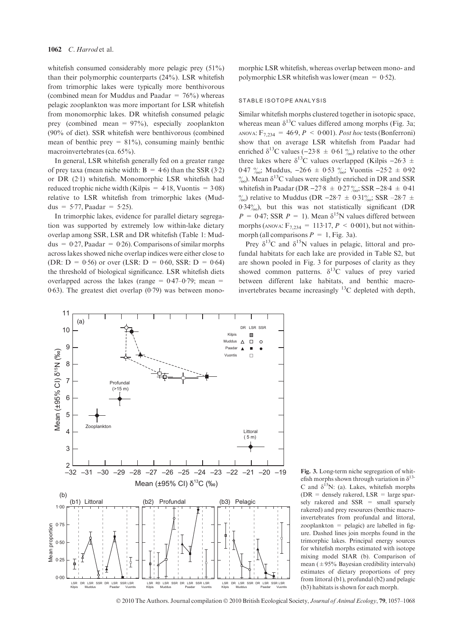whitefish consumed considerably more pelagic prey (51%) than their polymorphic counterparts (24%). LSR whitefish from trimorphic lakes were typically more benthivorous (combined mean for Muddus and Paadar =  $76\%$ ) whereas pelagic zooplankton was more important for LSR whitefish from monomorphic lakes. DR whitefish consumed pelagic prey (combined mean = 97%), especially zooplankton (90% of diet). SSR whitefish were benthivorous (combined mean of benthic prey  $= 81\%$ ), consuming mainly benthic macroinvertebrates (ca. 65%).

In general, LSR whitefish generally fed on a greater range of prey taxa (mean niche width:  $B = 4.6$ ) than the SSR (3.2) or DR (2.1) whitefish. Monomorphic LSR whitefish had reduced trophic niche width (Kilpis =  $4.18$ , Vuontis =  $3.08$ ) relative to LSR whitefish from trimorphic lakes (Muddus =  $5.77$ , Paadar =  $5.25$ ).

In trimorphic lakes, evidence for parallel dietary segregation was supported by extremely low within-lake dietary overlap among SSR, LSR and DR whitefish (Table 1: Muddus =  $0.27$ , Paadar =  $0.26$ ). Comparisons of similar morphs across lakes showed niche overlap indices were either close to (DR:  $D = 0.56$ ) or over (LSR:  $D = 0.60$ , SSR:  $D = 0.64$ ) the threshold of biological significance. LSR whitefish diets overlapped across the lakes (range =  $0.47-0.79$ ; mean = 0.63). The greatest diet overlap  $(0.79)$  was between monomorphic LSR whitefish, whereas overlap between mono- and polymorphic LSR whitefish was lower (mean =  $0.52$ ).

#### STABLE ISOTOPE ANALYSIS

Similar whitefish morphs clustered together in isotopic space, whereas mean  $\delta^{13}$ C values differed among morphs (Fig. 3a; ANOVA:  $F_{7,234} = 46.9, P \le 0.001$ ). Post hoc tests (Bonferroni) show that on average LSR whitefish from Paadar had enriched  $\delta^{13}$ C values (-23·8  $\pm$  0·61  $\frac{\%}{\%}$ ) relative to the other three lakes where  $\delta^{13}$ C values overlapped (Kilpis -26.3  $\pm$ 0.47 %; Muddus,  $-26.6 \pm 0.53$  %; Vuontis  $-25.2 \pm 0.92$  $\%$ <sub>0</sub>. Mean  $\delta^{13}$ C values were slightly enriched in DR and SSR whitefish in Paadar (DR -27.8  $\pm$  0.27 %; SSR -28.4  $\pm$  0.41  $\%$ %) relative to Muddus (DR –28·7 ± 0·31%; SSR –28·7 ±  $0.34\%$ ), but this was not statistically significant (DR  $P = 0.47$ ; SSR  $P = 1$ ). Mean  $\delta^{15}$ N values differed between morphs (ANOVA:  $F_{7,234} = 113.17, P \le 0.001$ ), but not withinmorph (all comparisons  $P = 1$ , Fig. 3a).

Prey  $\delta^{13}$ C and  $\delta^{15}$ N values in pelagic, littoral and profundal habitats for each lake are provided in Table S2, but are shown pooled in Fig. 3 for purposes of clarity as they showed common patterns.  $\delta^{13}$ C values of prey varied between different lake habitats, and benthic macroinvertebrates became increasingly  $^{13}$ C depleted with depth,



Fig. 3. Long-term niche segregation of whitefish morphs shown through variation in  $\delta^{13}$ C and  $\delta^{15}N$ : (a). Lakes, whitefish morphs  $(DR = densely\,raked, LSR = large\,spar$ sely rakered and  $SSR$  = small sparsely rakered) and prey resources (benthic macroinvertebrates from profundal and littoral, zooplankton = pelagic) are labelled in figure. Dashed lines join morphs found in the trimorphic lakes. Principal energy sources for whitefish morphs estimated with isotope mixing model SIAR (b). Comparison of mean  $(\pm 95\%$  Bayesian credibility intervals) estimates of dietary proportions of prey from littoral (b1), profundal (b2) and pelagic (b3) habitats is shown for each morph.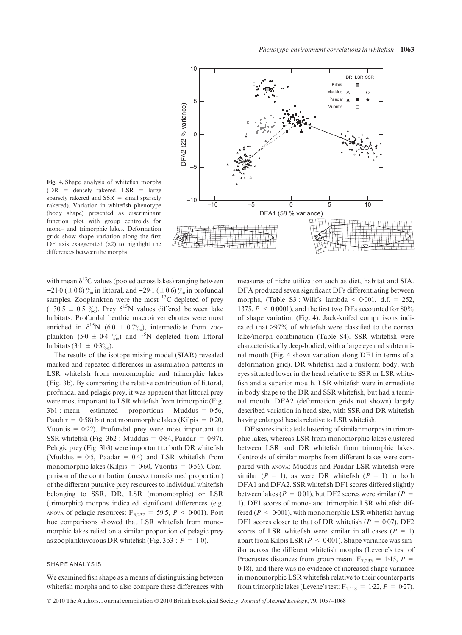

Fig. 4. Shape analysis of whitefish morphs  $(DR = densely\$  rakered,  $LSR = large$ sparsely rakered and  $SSR$  = small sparsely rakered). Variation in whitefish phenotype (body shape) presented as discriminant function plot with group centroids for mono- and trimorphic lakes. Deformation grids show shape variation along the first DF axis exaggerated  $(x2)$  to highlight the differences between the morphs.

with mean  $\delta^{13}$ C values (pooled across lakes) ranging between  $-21.0$  ( $\pm 0.8$ )  $\%$  in littoral, and  $-29.1$  ( $\pm 0.6$ )  $\%$  in profundal samples. Zooplankton were the most  $^{13}$ C depleted of prey  $(-30.5 \pm 0.5 \frac{\degree}{\degree} )$ . Prey  $\delta^{15}N$  values differed between lake habitats. Profundal benthic macroinvertebrates were most enriched in  $\delta^{15}N$  (6.0 ± 0.7%), intermediate from zooplankton (5.0 ± 0.4  $\frac{\%}{\%}$ ) and <sup>15</sup>N depleted from littoral habitats  $(3.1 \pm 0.3\%)$ .

The results of the isotope mixing model (SIAR) revealed marked and repeated differences in assimilation patterns in LSR whitefish from monomorphic and trimorphic lakes (Fig. 3b). By comparing the relative contribution of littoral, profundal and pelagic prey, it was apparent that littoral prey were most important to LSR whitefish from trimorphic (Fig.  $3b1$ : mean estimated proportions Muddus = 0.56, Paadar =  $0.58$ ) but not monomorphic lakes (Kilpis =  $0.20$ , Vuontis  $= 0.22$ ). Profundal prey were most important to SSR whitefish (Fig. 3b2 : Muddus =  $0.84$ , Paadar =  $0.97$ ). Pelagic prey (Fig. 3b3) were important to both DR whitefish (Muddus =  $0.5$ , Paadar =  $0.4$ ) and LSR whitefish from monomorphic lakes (Kilpis =  $0.60$ , Vuontis =  $0.56$ ). Comparison of the contribution (arcs $\forall x$  transformed proportion) of the different putative prey resources to individual whitefish belonging to SSR, DR, LSR (monomorphic) or LSR (trimorphic) morphs indicated significant differences (e.g. ANOVA of pelagic resources:  $F_{3,237} = 59.5$ ,  $P \le 0.001$ ). Post hoc comparisons showed that LSR whitefish from monomorphic lakes relied on a similar proportion of pelagic prey as zooplanktivorous DR whitefish (Fig. 3b3 :  $P = 10$ ).

#### SHAPE ANALYSIS

We examined fish shape as a means of distinguishing between whitefish morphs and to also compare these differences with measures of niche utilization such as diet, habitat and SIA. DFA produced seven significant DFs differentiating between morphs, (Table S3 : Wilk's lambda <  $0.001$ , d.f. = 252, 1375,  $P < 0.0001$ ), and the first two DFs accounted for 80% of shape variation (Fig. 4). Jack-knifed comparisons indicated that  $\geq$ 97% of whitefish were classified to the correct lake/morph combination (Table S4). SSR whitefish were characteristically deep-bodied, with a large eye and subterminal mouth (Fig. 4 shows variation along DF1 in terms of a deformation grid). DR whitefish had a fusiform body, with eyes situated lower in the head relative to SSR or LSR whitefish and a superior mouth. LSR whitefish were intermediate in body shape to the DR and SSR whitefish, but had a terminal mouth. DFA2 (deformation grids not shown) largely described variation in head size, with SSR and DR whitefish having enlarged heads relative to LSR whitefish.

DF scores indicated clustering of similar morphs in trimorphic lakes, whereas LSR from monomorphic lakes clustered between LSR and DR whitefish from trimorphic lakes. Centroids of similar morphs from different lakes were compared with anova: Muddus and Paadar LSR whitefish were similar ( $P = 1$ ), as were DR whitefish ( $P = 1$ ) in both DFA1 and DFA2. SSR whitefish DF1 scores differed slightly between lakes ( $P = 0.01$ ), but DF2 scores were similar ( $P =$ 1). DF1 scores of mono- and trimorphic LSR whitefish differed ( $P < 0.001$ ), with monomorphic LSR whitefish having DF1 scores closer to that of DR whitefish ( $P = 0.07$ ). DF2 scores of LSR whitefish were similar in all cases ( $P = 1$ ) apart from Kilpis LSR ( $P < 0.001$ ). Shape variance was similar across the different whitefish morphs (Levene's test of Procrustes distances from group mean:  $F_{7,233} = 1.45$ ,  $P =$  $0.18$ ), and there was no evidence of increased shape variance in monomorphic LSR whitefish relative to their counterparts from trimorphic lakes (Levene's test:  $F_{1,118} = 1.22, P = 0.27$ ).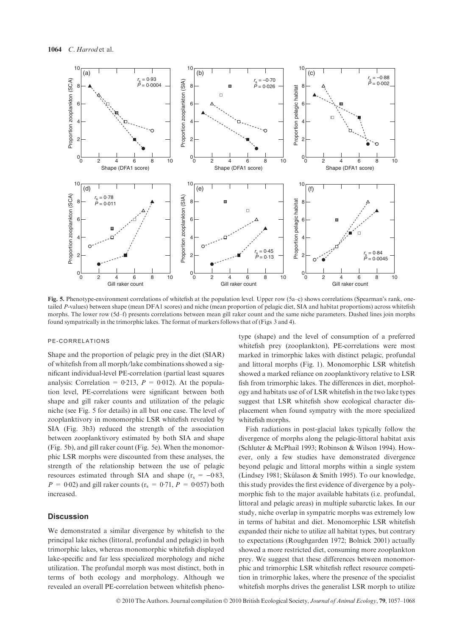

Fig. 5. Phenotype-environment correlations of whitefish at the population level. Upper row (5a–c) shows correlations (Spearman's rank, onetailed P-values) between shape (mean DFA1 scores) and niche (mean proportion of pelagic diet, SIA and habitat proportions) across whitefish morphs. The lower row (5d–f) presents correlations between mean gill raker count and the same niche parameters. Dashed lines join morphs found sympatrically in the trimorphic lakes. The format of markers follows that of (Figs 3 and 4).

#### PE-CORRELATIONS

Shape and the proportion of pelagic prey in the diet (SIAR) of whitefish from all morph ⁄ lake combinations showed a significant individual-level PE-correlation (partial least squares analysis: Correlation = 0.213,  $P = 0.012$ ). At the population level, PE-correlations were significant between both shape and gill raker counts and utilization of the pelagic niche (see Fig. 5 for details) in all but one case. The level of zooplanktivory in monomorphic LSR whitefish revealed by SIA (Fig. 3b3) reduced the strength of the association between zooplanktivory estimated by both SIA and shape (Fig. 5b), and gill raker count (Fig. 5e). When the monomorphic LSR morphs were discounted from these analyses, the strength of the relationship between the use of pelagic resources estimated through SIA and shape ( $r_s = -0.83$ )  $P = 0.02$ ) and gill raker counts ( $r_s = 0.71$ ,  $P = 0.057$ ) both increased.

#### **Discussion**

We demonstrated a similar divergence by whitefish to the principal lake niches (littoral, profundal and pelagic) in both trimorphic lakes, whereas monomorphic whitefish displayed lake-specific and far less specialized morphology and niche utilization. The profundal morph was most distinct, both in terms of both ecology and morphology. Although we revealed an overall PE-correlation between whitefish phenotype (shape) and the level of consumption of a preferred whitefish prey (zooplankton), PE-correlations were most marked in trimorphic lakes with distinct pelagic, profundal and littoral morphs (Fig. 1). Monomorphic LSR whitefish showed a marked reliance on zooplanktivory relative to LSR fish from trimorphic lakes. The differences in diet, morphology and habitats use of of LSR whitefish in the two lake types suggest that LSR whitefish show ecological character displacement when found sympatry with the more specialized whitefish morphs.

Fish radiations in post-glacial lakes typically follow the divergence of morphs along the pelagic-littoral habitat axis (Schluter & McPhail 1993; Robinson & Wilson 1994). However, only a few studies have demonstrated divergence beyond pelagic and littoral morphs within a single system (Lindsey 1981; Skúlason & Smith 1995). To our knowledge, this study provides the first evidence of divergence by a polymorphic fish to the major available habitats (i.e. profundal, littoral and pelagic areas) in multiple subarctic lakes. In our study, niche overlap in sympatric morphs was extremely low in terms of habitat and diet. Monomorphic LSR whitefish expanded their niche to utilize all habitat types, but contrary to expectations (Roughgarden 1972; Bolnick 2001) actually showed a more restricted diet, consuming more zooplankton prey. We suggest that these differences between monomorphic and trimorphic LSR whitefish reflect resource competition in trimorphic lakes, where the presence of the specialist whitefish morphs drives the generalist LSR morph to utilize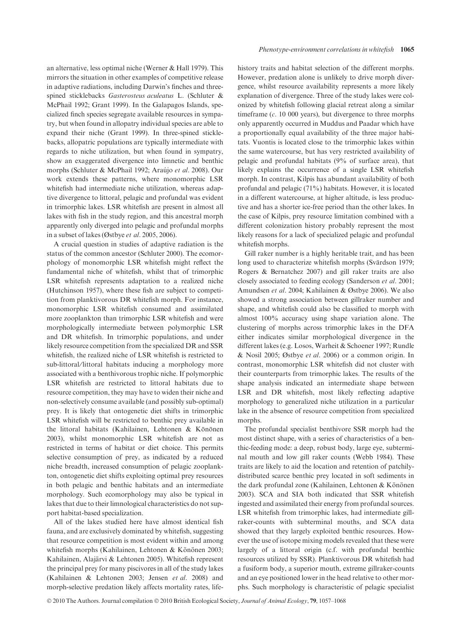an alternative, less optimal niche (Werner & Hall 1979). This mirrors the situation in other examples of competitive release in adaptive radiations, including Darwin's finches and threespined sticklebacks Gasterosteus aculeatus L. (Schluter & McPhail 1992; Grant 1999). In the Galapagos Islands, specialized finch species segregate available resources in sympatry, but when found in allopatry individual species are able to expand their niche (Grant 1999). In three-spined sticklebacks, allopatric populations are typically intermediate with regards to niche utilization, but when found in sympatry, show an exaggerated divergence into limnetic and benthic morphs (Schluter & McPhail 1992; Araújo et al. 2008). Our work extends these patterns, where monomorphic LSR whitefish had intermediate niche utilization, whereas adaptive divergence to littoral, pelagic and profundal was evident in trimorphic lakes. LSR whitefish are present in almost all lakes with fish in the study region, and this ancestral morph apparently only diverged into pelagic and profundal morphs in a subset of lakes (Østbye et al. 2005, 2006).

A crucial question in studies of adaptive radiation is the status of the common ancestor (Schluter 2000). The ecomorphology of monomorphic LSR whitefish might reflect the fundamental niche of whitefish, whilst that of trimorphic LSR whitefish represents adaptation to a realized niche (Hutchinson 1957), where these fish are subject to competition from planktivorous DR whitefish morph. For instance, monomorphic LSR whitefish consumed and assimilated more zooplankton than trimorphic LSR whitefish and were morphologically intermediate between polymorphic LSR and DR whitefish. In trimorphic populations, and under likely resource competition from the specialized DR and SSR whitefish, the realized niche of LSR whitefish is restricted to sub-littoral/littoral habitats inducing a morphology more associated with a benthivorous trophic niche. If polymorphic LSR whitefish are restricted to littoral habitats due to resource competition, they may have to widen their niche and non-selectively consume available (and possibly sub-optimal) prey. It is likely that ontogenetic diet shifts in trimorphic LSR whitefish will be restricted to benthic prey available in the littoral habitats (Kahilainen, Lehtonen & Könönen 2003), whilst monomorphic LSR whitefish are not as restricted in terms of habitat or diet choice. This permits selective consumption of prey, as indicated by a reduced niche breadth, increased consumption of pelagic zooplankton, ontogenetic diet shifts exploiting optimal prey resources in both pelagic and benthic habitats and an intermediate morphology. Such ecomorphology may also be typical in lakes that due to their limnological characteristics do not support habitat-based specialization.

All of the lakes studied here have almost identical fish fauna, and are exclusively dominated by whitefish, suggesting that resource competition is most evident within and among whitefish morphs (Kahilainen, Lehtonen & Könönen 2003; Kahilainen, Alajärvi & Lehtonen 2005). Whitefish represent the principal prey for many piscivores in all of the study lakes (Kahilainen & Lehtonen 2003; Jensen et al. 2008) and morph-selective predation likely affects mortality rates, lifehistory traits and habitat selection of the different morphs. However, predation alone is unlikely to drive morph divergence, whilst resource availability represents a more likely explanation of divergence. Three of the study lakes were colonized by whitefish following glacial retreat along a similar timeframe (c. 10 000 years), but divergence to three morphs only apparently occurred in Muddus and Paadar which have a proportionally equal availability of the three major habitats. Vuontis is located close to the trimorphic lakes within the same watercourse, but has very restricted availability of pelagic and profundal habitats (9% of surface area), that likely explains the occurrence of a single LSR whitefish morph. In contrast, Kilpis has abundant availability of both profundal and pelagic (71%) habitats. However, it is located in a different watercourse, at higher altitude, is less productive and has a shorter ice-free period than the other lakes. In the case of Kilpis, prey resource limitation combined with a different colonization history probably represent the most likely reasons for a lack of specialized pelagic and profundal whitefish morphs.

Gill raker number is a highly heritable trait, and has been long used to characterize whitefish morphs (Svärdson 1979; Rogers & Bernatchez 2007) and gill raker traits are also closely associated to feeding ecology (Sanderson et al. 2001; Amundsen et al. 2004; Kahilainen & Østbye 2006). We also showed a strong association between gillraker number and shape, and whitefish could also be classified to morph with almost 100% accuracy using shape variation alone. The clustering of morphs across trimorphic lakes in the DFA either indicates similar morphological divergence in the different lakes (e.g. Losos, Warheit & Schoener 1997; Rundle & Nosil 2005; Østbye et al. 2006) or a common origin. In contrast, monomorphic LSR whitefish did not cluster with their counterparts from trimorphic lakes. The results of the shape analysis indicated an intermediate shape between LSR and DR whitefish, most likely reflecting adaptive morphology to generalized niche utilization in a particular lake in the absence of resource competition from specialized morphs.

The profundal specialist benthivore SSR morph had the most distinct shape, with a series of characteristics of a benthic-feeding mode: a deep, robust body, large eye, subterminal mouth and low gill raker counts (Webb 1984). These traits are likely to aid the location and retention of patchilydistributed scarce benthic prey located in soft sediments in the dark profundal zone (Kahilainen, Lehtonen & Könönen 2003). SCA and SIA both indicated that SSR whitefish ingested and assimilated their energy from profundal sources. LSR whitefish from trimorphic lakes, had intermediate gillraker-counts with subterminal mouths, and SCA data showed that they largely exploited benthic resources. However the use of isotope mixing models revealed that these were largely of a littoral origin (c.f. with profundal benthic resources utilized by SSR). Planktivorous DR whitefish had a fusiform body, a superior mouth, extreme gillraker-counts and an eye positioned lower in the head relative to other morphs. Such morphology is characteristic of pelagic specialist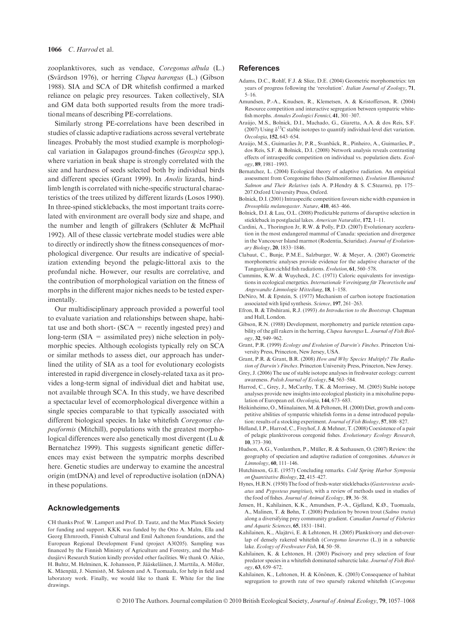zooplanktivores, such as vendace, Coregonus albula (L.) (Svärdson 1976), or herring Clupea harengus (L.) (Gibson 1988). SIA and SCA of DR whitefish confirmed a marked reliance on pelagic prey resources. Taken collectively, SIA and GM data both supported results from the more traditional means of describing PE-correlations.

Similarly strong PE-correlations have been described in studies of classic adaptive radiations across several vertebrate lineages. Probably the most studied example is morphological variation in Galapagos ground-finches (Geospiza spp.), where variation in beak shape is strongly correlated with the size and hardness of seeds selected both by individual birds and different species (Grant 1999). In Anolis lizards, hindlimb length is correlated with niche-specific structural characteristics of the trees utilized by different lizards (Losos 1990). In three-spined sticklebacks, the most important traits correlated with environment are overall body size and shape, and the number and length of gillrakers (Schluter & McPhail 1992). All of these classic vertebrate model studies were able to directly or indirectly show the fitness consequences of morphological divergence. Our results are indicative of specialization extending beyond the pelagic-littoral axis to the profundal niche. However, our results are correlative, and the contribution of morphological variation on the fitness of morphs in the different major niches needs to be tested experimentally.

Our multidisciplinary approach provided a powerful tool to evaluate variation and relationships between shape, habitat use and both short-  $(SCA = recently ingested prey)$  and long-term (SIA = assimilated prey) niche selection in polymorphic species. Although ecologists typically rely on SCA or similar methods to assess diet, our approach has underlined the utility of SIA as a tool for evolutionary ecologists interested in rapid divergence in closely-related taxa as it provides a long-term signal of individual diet and habitat use, not available through SCA. In this study, we have described a spectacular level of ecomorphological divergence within a single species comparable to that typically associated with different biological species. In lake whitefish Coregonus clupeaformis (Mitchill), populations with the greatest morphological differences were also genetically most divergent (Lu & Bernatchez 1999). This suggests significant genetic differences may exist between the sympatric morphs described here. Genetic studies are underway to examine the ancestral origin (mtDNA) and level of reproductive isolation (nDNA) in these populations.

#### Acknowledgements

CH thanks Prof. W. Lampert and Prof. D. Tautz, and the Max Planck Society for funding and support. KKK was funded by the Otto A. Malm, Ella and Georg Ehrnrooth, Finnish Cultural and Emil Aaltonen foundations, and the European Regional Development Fund (project A30205). Sampling was financed by the Finnish Ministry of Agriculture and Forestry, and the Muddusjärvi Research Station kindly provided other facilities. We thank O. Aikio, H. Buhtz, M. Helminen, K. Johansson, P. Jääskeläinen, J. Marttila, A. Möller, K. Mäenpää, J. Niemistö, M. Salonen and A. Tuomaala, for help in field and laboratory work. Finally, we would like to thank E. White for the line drawings.

## **References**

- Adams, D.C., Rohlf, F.J. & Slice, D.E. (2004) Geometric morphometrics: ten years of progress following the 'revolution'. Italian Journal of Zoology, 71, 5–16.
- Amundsen, P.-A., Knudsen, R., Klemetsen, A. & Kristofferson, R. (2004) Resource competition and interactive segregation between sympatric whitefish morphs. Annales Zoologici Fennici, 41, 301–307.
- Araújo, M.S., Bolnick, D.I., Machado, G., Giaretta, A.A. & dos Reis, S.F. (2007) Using  $\delta^{13}$ C stable isotopes to quantify individual-level diet variation. Oecologia, 152, 643–654.
- Araújo, M.S., Guimarães Jr, P.R., Svanbäck, R., Pinheiro, A., Guimarães, P., dos Reis, S.F. & Bolnick, D.I. (2008) Network analysis reveals contrasting effects of intraspecific competition on individual vs. population diets. Ecology, 89, 1981–1993.
- Bernatchez, L. (2004) Ecological theory of adaptive radiation. An empirical assessment from Coregonine fishes (Salmoniformes). Evolution Illuminated: Salmon and Their Relatives (eds A. P.Hendry & S. C.Stearns), pp. 175-207.Oxford University Press, Oxford.
- Bolnick, D.I. (2001) Intraspecific competition favours niche width expansion in Drosophila melanogaster. Nature, 410, 463–466.
- Bolnick, D.I. & Lau, O.L. (2008) Predictable patterns of disruptive selection in stickleback in postglacial lakes. American Naturalist, 172, 1–11.
- Cardini, A., Thorington Jr, R.W. & Polly, P.D. (2007) Evolutionary acceleration in the most endangered mammal of Canada: speciation and divergence in the Vancouver Island marmot (Rodentia, Sciuridae). Journal of Evolutionary Biology, 20, 1833–1846.
- Clabaut, C., Bunje, P.M.E., Salzburger, W. & Meyer, A. (2007) Geometric morphometric analyses provide evidence for the adaptive character of the Tanganyikan cichlid fish radiations. Evolution, 61, 560–578.
- Cummins, K.W. & Wuycheck, J.C. (1971) Caloric equivalents for investigations in ecological energetics. Internationale Vereinigung für Theoretische und Angewandte Limnologie Mitteilung, 18, 1–158.
- DeNiro, M. & Epstein, S. (1977) Mechanism of carbon isotope fractionation associated with lipid synthesis. Science, 197, 261–263.
- Efron, B. & Tibshirani, R.J. (1993) An Introduction to the Bootstrap. Chapman and Hall, London.
- Gibson, R.N. (1988) Development, morphometry and particle retention capability of the gill rakers in the herring, Clupea harengus L. Journal of Fish Biology, 32, 949–962.
- Grant, P.R. (1999) Ecology and Evolution of Darwin's Finches. Princeton University Press, Princeton, New Jersey, USA.
- Grant, P.R. & Grant, B.R. (2008) How and Why Species Multiply? The Radiation of Darwin's Finches. Princeton University Press, Princeton, New Jersey.
- Grey, J. (2006) The use of stable isotope analyses in freshwater ecology: current awareness. Polish Journal of Ecology, 54, 563–584.
- Harrod, C., Grey, J., McCarthy, T.K. & Morrissey, M. (2005) Stable isotope analyses provide new insights into ecological plasticity in a mixohaline population of European eel. Oecologia, 144, 673–683.
- Heikinheimo, O.,Miinalainen, M. & Peltonen, H. (2000) Diet, growth and competitive abilities of sympatric whitefish forms in a dense introduced population: results of a stocking experiment. Journal of Fish Biology, 57, 808–827.
- Helland, I.P., Harrod, C., Freyhof, J. & Mehner, T. (2008) Coexistence of a pair of pelagic planktivorous coregonid fishes. Evolutionary Ecology Research, 10, 373–390.
- Hudson, A.G., Vonlanthen, P., Müller, R. & Seehausen, O. (2007) Review: the geography of speciation and adaptive radiation of coregonines. Advances in Limnology, 60, 111–146.
- Hutchinson, G.E. (1957) Concluding remarks. Cold Spring Harbor Symposia on Quantitative Biology, 22, 415–427.
- Hynes, H.B.N. (1950) The food of fresh-water sticklebacks (Gasterosteus aculeatus and Pygosteus pungitius), with a review of methods used in studies of the food of fishes. Journal of Animal Ecology, 19, 36–58.
- Jensen, H., Kahilainen, K.K., Amundsen, P.-A., Gjelland, K.Ø., Tuomaala, A., Malinen, T. & Bøhn, T. (2008) Predation by brown trout (Salmo trutta) along a diversifying prey community gradient. Canadian Journal of Fisheries and Aquatic Sciences, 65, 1831–1841.
- Kahilainen, K., Alajärvi, E. & Lehtonen, H. (2005) Planktivory and diet-overlap of densely rakered whitefish (Coregonus lavaretus (L.)) in a subarctic lake. Ecology of Freshwater Fish, 14, 50-58.
- Kahilainen, K. & Lehtonen, H. (2003) Piscivory and prey selection of four predator species in a whitefish dominated subarctic lake. Journal of Fish Biology, 63, 659–672.
- Kahilainen, K., Lehtonen, H. & Könönen, K. (2003) Consequence of habitat segregation to growth rate of two sparsely rakered whitefish (Coregonus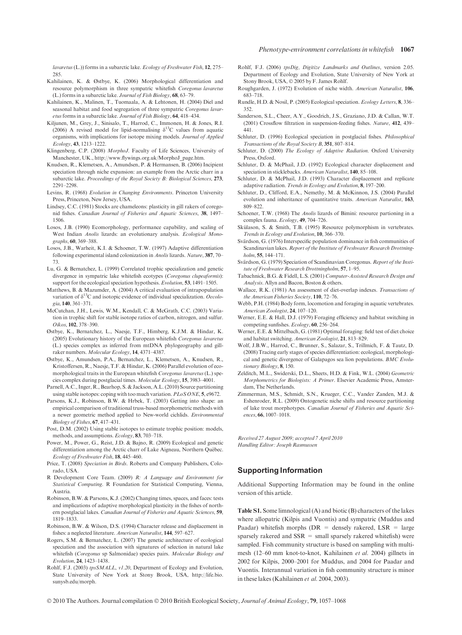lavaretus (L.)) forms in a subarctic lake. Ecology of Freshwater Fish, 12, 275– 285.

- Kahilainen, K. & Østbye, K. (2006) Morphological differentiation and resource polymorphism in three sympatric whitefish Coregonus lavaretus (L.) forms in a subarctic lake. Journal of Fish Biology, 68, 63–79.
- Kahilainen, K., Malinen, T., Tuomaala, A. & Lehtonen, H. (2004) Diel and seasonal habitat and food segregation of three sympatric Coregonus lavaretusforms in a subarctic lake. Journal of Fish Biology, 64, 418–434.
- Kiljunen, M., Grey, J., Sinisalo, T., Harrod, C., Immonen, H. & Jones, R.I. (2006) A revised model for lipid-normalising  $\delta^{13}$ C values from aquatic organisms, with implications for isotope mixing models. Journal of Applied Ecology, 43, 1213–1222.
- Klingenberg, C.P. (2008) MorphoJ. Faculty of Life Sciences, University of Manchester, UK., http://www.flywings.org.uk/MorphoJ\_page.htm.
- Knudsen, R., Klemetsen, A., Amundsen, P. & Hermansen, B. (2006) Incipient speciation through niche expansion: an example from the Arctic charr in a subarctic lake. Proceedings of the Royal Society B: Biological Sciences, 273, 2291–2298.
- Levins, R. (1968) Evolution in Changing Environments. Princeton University Press, Princeton, New Jersey, USA.
- Lindsey, C.C. (1981) Stocks are chameleons: plasticity in gill rakers of coregonid fishes. Canadian Journal of Fisheries and Aquatic Sciences, 38, 1497– 1506.
- Losos, J.B. (1990) Ecomorphology, performance capability, and scaling of West Indian Anolis lizards: an evolutionary analysis. Ecological Monographs, 60, 369–388.
- Losos, J.B., Warheit, K.I. & Schoener, T.W. (1997) Adaptive differentiation following experimental island colonization in Anolislizards. Nature, 387, 70– 73.
- Lu, G. & Bernatchez, L. (1999) Correlated trophic specialization and genetic divergence in sympatric lake whitefish ecotypes (Coregonus clupeaformis): support for the ecological speciation hypothesis. Evolution, 53, 1491-1505.
- Matthews, B. & Mazumder, A. (2004) A critical evaluation of intrapopulation variation of  $\delta^{13}$ C and isotopic evidence of individual specialization. *Oecolo*gia, 140, 361–371.
- McCutchan, J.H., Lewis, W.M., Kendall, C. & McGrath, C.C. (2003) Variation in trophic shift for stable isotope ratios of carbon, nitrogen, and sulfur. Oikos, 102, 378–390.
- Østbye, K., Bernatchez, L., Naesje, T.F., Himberg, K.J.M. & Hindar, K. (2005) Evolutionary history of the European whitefish Coregonus lavaretus (L.) species complex as inferred from mtDNA phylogeography and gillraker numbers. Molecular Ecology, 14, 4371–4387.
- Østbye, K., Amundsen, P.A., Bernatchez, L., Klemetsen, A., Knudsen, R., Kristoffersen, R., Naesje, T.F. & Hindar, K. (2006) Parallel evolution of ecomorphological traits in the European whitefish Coregonus lavaretus (L.) species complex during postglacial times. Molecular Ecology, 15, 3983–4001.
- Parnell, A.C., Inger, R., Bearhop, S. & Jackson, A.L. (2010) Source partitioning using stable isotopes: coping with too much variation. PLoS ONE, 5, e9672.
- Parsons, K.J., Robinson, B.W. & Hrbek, T. (2003) Getting into shape: an empirical comparison of traditional truss-based morphometric methods with a newer geometric method applied to New-world cichlids. Environmental Biology of Fishes, 67, 417–431.
- Post, D.M. (2002) Using stable isotopes to estimate trophic position: models, methods, and assumptions. Ecology, 83, 703–718.
- Power, M., Power, G., Reist, J.D. & Bajno, R. (2009) Ecological and genetic differentiation among the Arctic charr of Lake Aigneau, Northern Québec. Ecology of Freshwater Fish, 18, 445–460.
- Price, T. (2008) Speciation in Birds. Roberts and Company Publishers, Colorado, USA.
- R Development Core Team. (2009) R: A Language and Environment for Statistical Computing. R Foundation for Statistical Computing, Vienna, Austria.
- Robinson, B.W. & Parsons, K.J. (2002) Changing times, spaces, and faces: tests and implications of adaptive morphological plasticity in the fishes of northern postglacial lakes. Canadian Journal of Fisheries and Aquatic Sciences, 59, 1819–1833.
- Robinson, B.W. & Wilson, D.S. (1994) Character release and displacement in fishes: a neglected literature. American Naturalist, 144, 597–627.
- Rogers, S.M. & Bernatchez, L. (2007) The genetic architecture of ecological speciation and the association with signatures of selection in natural lake whitefish (Coregonus sp Salmonidae) species pairs. Molecular Biology and Evolution, 24, 1423–1438.
- Rohlf, F.J. (2003) tpsSMALL, v1.20, Department of Ecology and Evolution, State University of New York at Stony Brook, USA, http://life.bio. sunysb.edu/morph.
- Rohlf, F.J. (2006) tpsDig, Digitize Landmarks and Outlines, version 2.05. Department of Ecology and Evolution, State University of New York at Stony Brook, USA, © 2005 by F. James Rohlf.
- Roughgarden, J. (1972) Evolution of niche width. American Naturalist, 106, 683–718.
- Rundle, H.D. & Nosil, P. (2005) Ecological speciation. Ecology Letters, 8, 336– 352.
- Sanderson, S.L., Cheer, A.Y., Goodrich, J.S., Graziano, J.D. & Callan, W.T. (2001) Crossflow filtration in suspension-feeding fishes. Nature, 412, 439– 441.
- Schluter, D. (1996) Ecological speciation in postglacial fishes. Philosophical Transactions of the Royal Society B, 351, 807–814.
- Schluter, D. (2000) The Ecology of Adaptive Radiation. Oxford University Press, Oxford.
- Schluter, D. & McPhail, J.D. (1992) Ecological character displacement and speciation in sticklebacks. American Naturalist, 140, 85–108.
- Schluter, D. & McPhail, J.D. (1993) Character displacement and replicate adaptive radiation. Trends in Ecology and Evolution, 8, 197–200.
- Schluter, D., Clifford, E.A., Nemethy, M. & McKinnon, J.S. (2004) Parallel evolution and inheritance of quantitative traits. American Naturalist, 163, 809–822.
- Schoener, T.W. (1968) The Anolis lizards of Bimini: resource partioning in a complex fauna. Ecology, 49, 704–726.
- Skúlason, S. & Smith, T.B. (1995) Resource polymorphism in vertebrates. Trends in Ecology and Evolution, 10, 366–370.
- Svärdson, G. (1976) Interspecific population dominance in fish communities of Scandinavian lakes. Report of the Institute of Freshwater Research Drottningholm, 55, 144–171.
- Svärdson, G. (1979) Speciation of Scandinavian Coregonus. Report of the Institute of Freshwater Research Drottningholm, 57, 1–95.
- Tabachnick, B.G. & Fidell, L.S. (2001) Computer-Assisted Research Design and Analysis. Allyn and Bacon, Boston & others.
- Wallace, R.K. (1981) An assessment of diet-overlap indexes. Transactions of the American Fisheries Society, 110, 72–76.
- Webb, P.H. (1984) Body form, locomotion and foraging in aquatic vertebrates. American Zoologist, 24, 107–120.
- Werner, E.E. & Hall, D.J. (1979) Foraging efficiency and habitat switching in competing sunfishes. Ecology, 60, 256–264.
- Werner, E.E. & Mittelbach, G. (1981) Optimal foraging: field test of diet choice and habitat switching. American Zoologist, 21, 813–829.
- Wolf, J.B.W., Harrod, C., Brunner, S., Salazar, S., Trillmich, F. & Tautz, D. (2008) Tracing early stages of species differentiation: ecological, morphological and genetic divergence of Galapagos sea lion populations. BMC Evolutionary Biology, 8, 150.
- Zelditch, M.L., Swiderski, D.L., Sheets, H.D. & Fink, W.L. (2004) Geometric Morphometrics for Biologists: A Primer. Elsevier Academic Press, Amsterdam, The Netherlands.
- Zimmerman, M.S., Schmidt, S.N., Krueger, C.C., Vander Zanden, M.J. & Eshenroder, R.L. (2009) Ontogenetic niche shifts and resource partitioning of lake trout morphotypes. Canadian Journal of Fisheries and Aquatic Sciences, 66, 1007–1018.

Received 27 August 2009; accepted 7 April 2010 Handling Editor: Joseph Rasmussen

#### Supporting Information

Additional Supporting Information may be found in the online version of this article.

Table S1. Some limnological (A) and biotic (B) characters of the lakes where allopatric (Kilpis and Vuontis) and sympatric (Muddus and Paadar) whitefish morphs ( $DR =$  densely rakered,  $LSR =$  large sparsely rakered and SSR = small sparsely rakered whitefish) were sampled. Fish community structure is based on sampling with multimesh (12–60 mm knot-to-knot, Kahilainen et al. 2004) gillnets in 2002 for Kilpis, 2000–2001 for Muddus, and 2004 for Paadar and Vuontis. Interannual variation in fish community structure is minor in these lakes (Kahilainen et al. 2004, 2003).